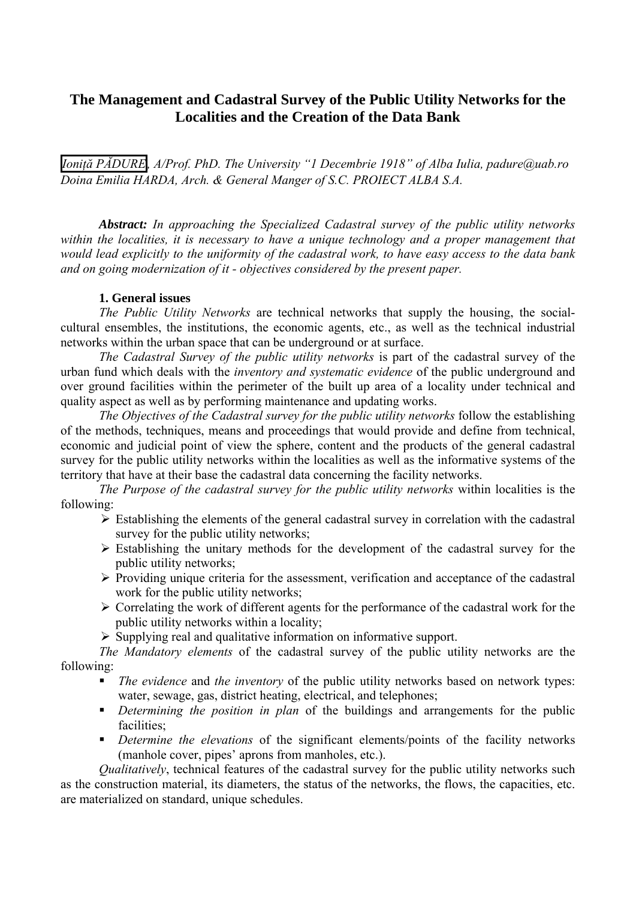# **The Management and Cadastral Survey of the Public Utility Networks for the Localities and the Creation of the Data Bank**

*Ioniţă PĂDURE, A/Prof. PhD. The University "1 Decembrie 1918" of Alba Iulia, padure@uab.ro Doina Emilia HARDA, Arch. & General Manger of S.C. PROIECT ALBA S.A.* 

*Abstract: In approaching the Specialized Cadastral survey of the public utility networks within the localities, it is necessary to have a unique technology and a proper management that would lead explicitly to the uniformity of the cadastral work, to have easy access to the data bank and on going modernization of it - objectives considered by the present paper.*

#### **1. General issues**

*The Public Utility Networks* are technical networks that supply the housing, the socialcultural ensembles, the institutions, the economic agents, etc., as well as the technical industrial networks within the urban space that can be underground or at surface.

*The Cadastral Survey of the public utility networks* is part of the cadastral survey of the urban fund which deals with the *inventory and systematic evidence* of the public underground and over ground facilities within the perimeter of the built up area of a locality under technical and quality aspect as well as by performing maintenance and updating works.

*The Objectives of the Cadastral survey for the public utility networks* follow the establishing of the methods, techniques, means and proceedings that would provide and define from technical, economic and judicial point of view the sphere, content and the products of the general cadastral survey for the public utility networks within the localities as well as the informative systems of the territory that have at their base the cadastral data concerning the facility networks.

*The Purpose of the cadastral survey for the public utility networks* within localities is the following:

- $\triangleright$  Establishing the elements of the general cadastral survey in correlation with the cadastral survey for the public utility networks;
- $\triangleright$  Establishing the unitary methods for the development of the cadastral survey for the public utility networks;
- $\triangleright$  Providing unique criteria for the assessment, verification and acceptance of the cadastral work for the public utility networks:
- $\triangleright$  Correlating the work of different agents for the performance of the cadastral work for the public utility networks within a locality;

 $\triangleright$  Supplying real and qualitative information on informative support.

*The Mandatory elements* of the cadastral survey of the public utility networks are the following:

- *The evidence* and *the inventory* of the public utility networks based on network types: water, sewage, gas, district heating, electrical, and telephones;
- *Determining the position in plan* of the buildings and arrangements for the public facilities;
- *Determine the elevations* of the significant elements/points of the facility networks (manhole cover, pipes' aprons from manholes, etc.).

*Qualitatively*, technical features of the cadastral survey for the public utility networks such as the construction material, its diameters, the status of the networks, the flows, the capacities, etc. are materialized on standard, unique schedules.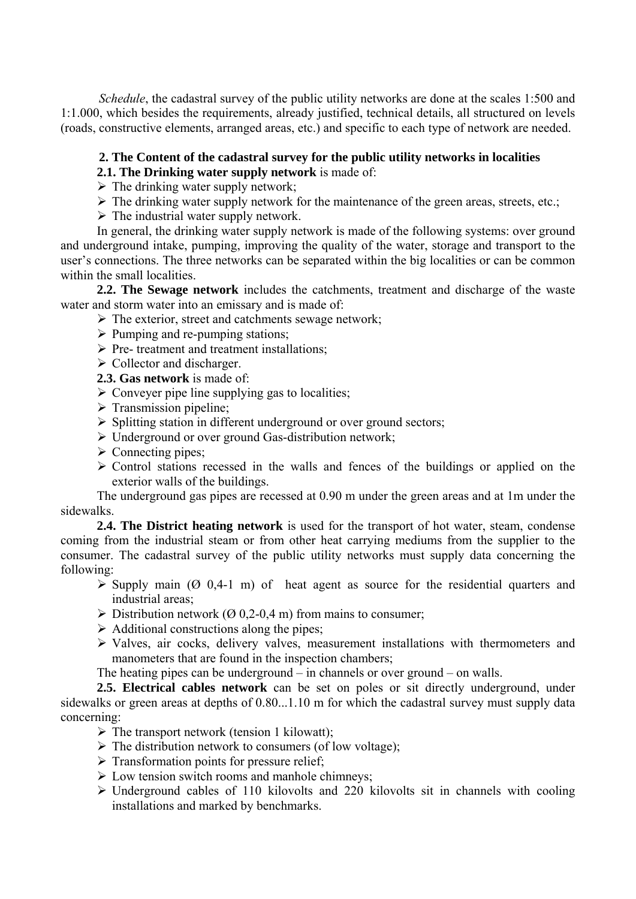*Schedule*, the cadastral survey of the public utility networks are done at the scales 1:500 and 1:1.000, which besides the requirements, already justified, technical details, all structured on levels (roads, constructive elements, arranged areas, etc.) and specific to each type of network are needed.

### **2. The Content of the cadastral survey for the public utility networks in localities**

**2.1. The Drinking water supply network** is made of:

 $\triangleright$  The drinking water supply network;

- $\triangleright$  The drinking water supply network for the maintenance of the green areas, streets, etc.;
- $\triangleright$  The industrial water supply network.

In general, the drinking water supply network is made of the following systems: over ground and underground intake, pumping, improving the quality of the water, storage and transport to the user's connections. The three networks can be separated within the big localities or can be common within the small localities.

**2.2. The Sewage network** includes the catchments, treatment and discharge of the waste water and storm water into an emissary and is made of:

- $\triangleright$  The exterior, street and catchments sewage network;
- $\triangleright$  Pumping and re-pumping stations;
- $\triangleright$  Pre- treatment and treatment installations;
- $\triangleright$  Collector and discharger.

**2.3. Gas network** is made of:

- $\triangleright$  Conveyer pipe line supplying gas to localities;
- $\triangleright$  Transmission pipeline;
- $\triangleright$  Splitting station in different underground or over ground sectors;
- ¾ Underground or over ground Gas-distribution network;
- $\triangleright$  Connecting pipes:
- $\triangleright$  Control stations recessed in the walls and fences of the buildings or applied on the exterior walls of the buildings.

The underground gas pipes are recessed at 0.90 m under the green areas and at 1m under the sidewalks.

**2.4. The District heating network** is used for the transport of hot water, steam, condense coming from the industrial steam or from other heat carrying mediums from the supplier to the consumer. The cadastral survey of the public utility networks must supply data concerning the following:

- $\triangleright$  Supply main ( $\odot$  0,4-1 m) of heat agent as source for the residential quarters and industrial areas;
- $\triangleright$  Distribution network ( $\varnothing$  0.2-0.4 m) from mains to consumer;
- $\triangleright$  Additional constructions along the pipes;
- ¾ Valves, air cocks, delivery valves, measurement installations with thermometers and manometers that are found in the inspection chambers;

The heating pipes can be underground – in channels or over ground – on walls.

**2.5. Electrical cables network** can be set on poles or sit directly underground, under sidewalks or green areas at depths of 0.80...1.10 m for which the cadastral survey must supply data concerning:

- $\triangleright$  The transport network (tension 1 kilowatt);
- $\triangleright$  The distribution network to consumers (of low voltage);
- $\triangleright$  Transformation points for pressure relief;
- $\triangleright$  Low tension switch rooms and manhole chimneys;
- $\triangleright$  Underground cables of 110 kilovolts and 220 kilovolts sit in channels with cooling installations and marked by benchmarks.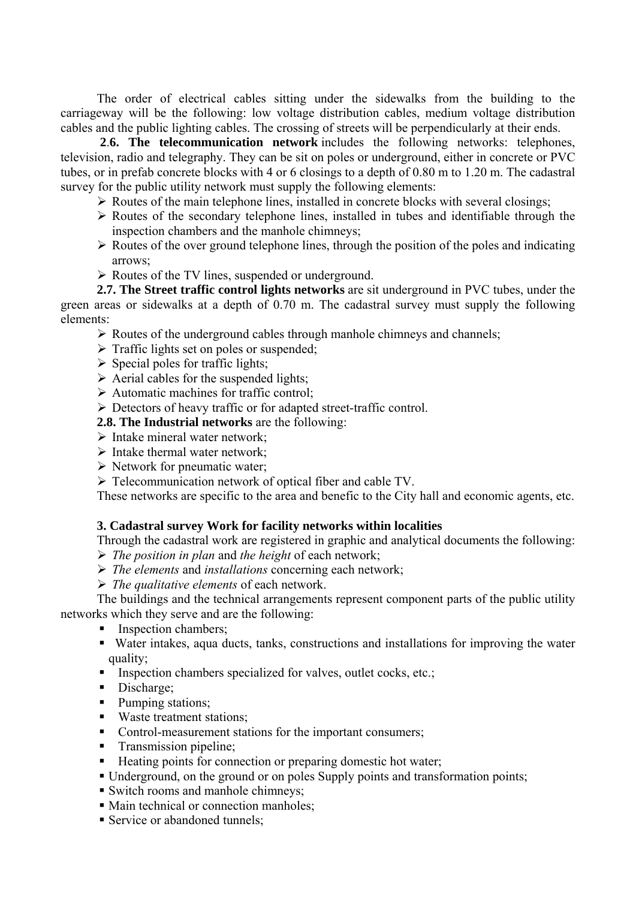The order of electrical cables sitting under the sidewalks from the building to the carriageway will be the following: low voltage distribution cables, medium voltage distribution cables and the public lighting cables. The crossing of streets will be perpendicularly at their ends.

**2**.**6. The telecommunication network** includes the following networks: telephones, television, radio and telegraphy. They can be sit on poles or underground, either in concrete or PVC tubes, or in prefab concrete blocks with 4 or 6 closings to a depth of 0.80 m to 1.20 m. The cadastral survey for the public utility network must supply the following elements:

- $\triangleright$  Routes of the main telephone lines, installed in concrete blocks with several closings;
- $\triangleright$  Routes of the secondary telephone lines, installed in tubes and identifiable through the inspection chambers and the manhole chimneys;
- $\triangleright$  Routes of the over ground telephone lines, through the position of the poles and indicating arrows;
- ¾ Routes of the TV lines, suspended or underground.

**2.7. The Street traffic control lights networks** are sit underground in PVC tubes, under the green areas or sidewalks at a depth of 0.70 m. The cadastral survey must supply the following elements:

- $\triangleright$  Routes of the underground cables through manhole chimneys and channels;
- $\triangleright$  Traffic lights set on poles or suspended;
- $\triangleright$  Special poles for traffic lights;
- $\triangleright$  Aerial cables for the suspended lights;
- $\triangleright$  Automatic machines for traffic control;
- $\triangleright$  Detectors of heavy traffic or for adapted street-traffic control.
- **2.8. The Industrial networks** are the following:
- $\triangleright$  Intake mineral water network;
- $\triangleright$  Intake thermal water network:
- $\triangleright$  Network for pneumatic water;
- ¾ Telecommunication network of optical fiber and cable TV.

These networks are specific to the area and benefic to the City hall and economic agents, etc.

#### **3. Cadastral survey Work for facility networks within localities**

Through the cadastral work are registered in graphic and analytical documents the following: ¾ *The position in plan* and *the height* of each network;

- ¾ *The elements* and *installations* concerning each network;
- ¾ *The qualitative elements* of each network.

The buildings and the technical arrangements represent component parts of the public utility networks which they serve and are the following:

- Inspection chambers;
- Water intakes, aqua ducts, tanks, constructions and installations for improving the water quality;
- Inspection chambers specialized for valves, outlet cocks, etc.;
- Discharge;
- Pumping stations;
- Waste treatment stations;
- Control-measurement stations for the important consumers;
- **Transmission pipeline;**
- Heating points for connection or preparing domestic hot water;
- Underground, on the ground or on poles Supply points and transformation points;
- Switch rooms and manhole chimneys;
- Main technical or connection manholes:
- Service or abandoned tunnels;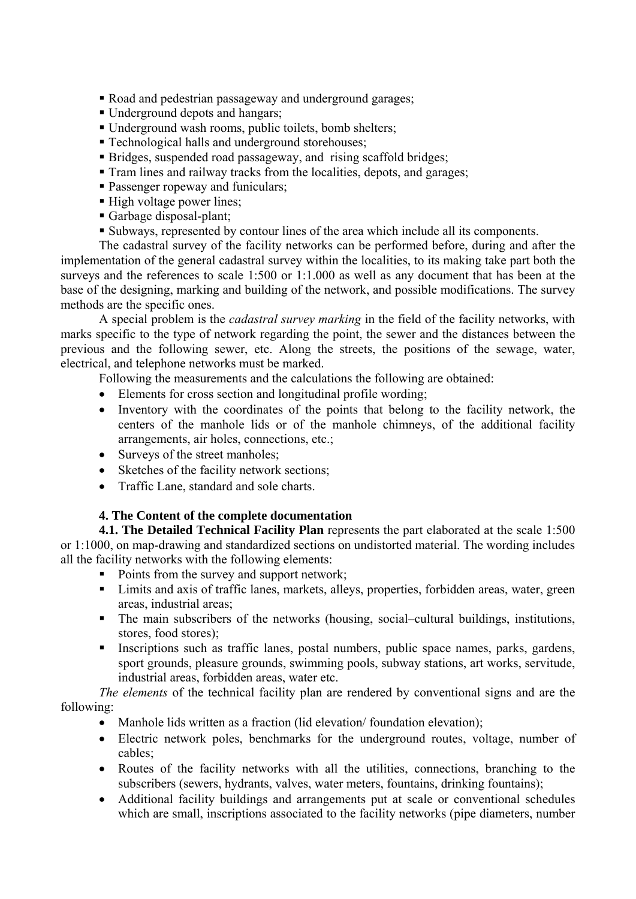- Road and pedestrian passageway and underground garages;
- Underground depots and hangars:
- Underground wash rooms, public toilets, bomb shelters;
- Technological halls and underground storehouses;
- Bridges, suspended road passageway, and rising scaffold bridges;
- Tram lines and railway tracks from the localities, depots, and garages;
- **Passenger ropeway and funiculars;**
- High voltage power lines;
- Garbage disposal-plant;
- Subways, represented by contour lines of the area which include all its components.

The cadastral survey of the facility networks can be performed before, during and after the implementation of the general cadastral survey within the localities, to its making take part both the surveys and the references to scale 1:500 or 1:1.000 as well as any document that has been at the base of the designing, marking and building of the network, and possible modifications. The survey methods are the specific ones.

A special problem is the *cadastral survey marking* in the field of the facility networks, with marks specific to the type of network regarding the point, the sewer and the distances between the previous and the following sewer, etc. Along the streets, the positions of the sewage, water, electrical, and telephone networks must be marked.

Following the measurements and the calculations the following are obtained:

- Elements for cross section and longitudinal profile wording:
- Inventory with the coordinates of the points that belong to the facility network, the centers of the manhole lids or of the manhole chimneys, of the additional facility arrangements, air holes, connections, etc.;
- Surveys of the street manholes;
- Sketches of the facility network sections;
- Traffic Lane, standard and sole charts.

### **4. The Content of the complete documentation**

**4.1. The Detailed Technical Facility Plan** represents the part elaborated at the scale 1:500 or 1:1000, on map-drawing and standardized sections on undistorted material. The wording includes all the facility networks with the following elements:

- Points from the survey and support network;
- **EXECUTE:** Limits and axis of traffic lanes, markets, alleys, properties, forbidden areas, water, green areas, industrial areas;
- The main subscribers of the networks (housing, social–cultural buildings, institutions, stores, food stores);
- Inscriptions such as traffic lanes, postal numbers, public space names, parks, gardens, sport grounds, pleasure grounds, swimming pools, subway stations, art works, servitude, industrial areas, forbidden areas, water etc.

*The elements* of the technical facility plan are rendered by conventional signs and are the following:

- Manhole lids written as a fraction (lid elevation/ foundation elevation);
- Electric network poles, benchmarks for the underground routes, voltage, number of cables;
- Routes of the facility networks with all the utilities, connections, branching to the subscribers (sewers, hydrants, valves, water meters, fountains, drinking fountains);
- Additional facility buildings and arrangements put at scale or conventional schedules which are small, inscriptions associated to the facility networks (pipe diameters, number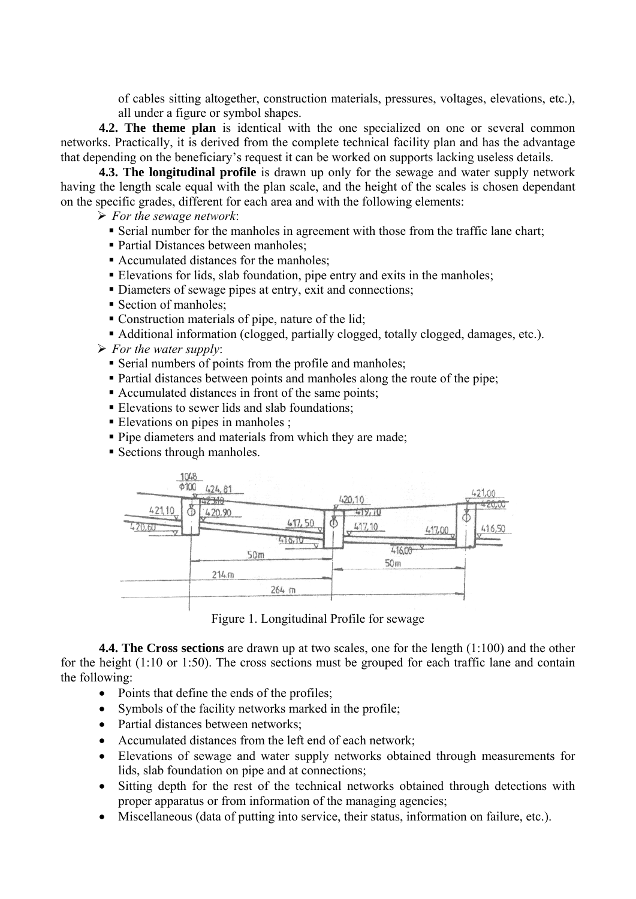of cables sitting altogether, construction materials, pressures, voltages, elevations, etc.), all under a figure or symbol shapes.

**4.2. The theme plan** is identical with the one specialized on one or several common networks. Practically, it is derived from the complete technical facility plan and has the advantage that depending on the beneficiary's request it can be worked on supports lacking useless details.

**4.3. The longitudinal profile** is drawn up only for the sewage and water supply network having the length scale equal with the plan scale, and the height of the scales is chosen dependant on the specific grades, different for each area and with the following elements:

¾ *For the sewage network*:

- Serial number for the manholes in agreement with those from the traffic lane chart;
- Partial Distances between manholes;
- Accumulated distances for the manholes;
- Elevations for lids, slab foundation, pipe entry and exits in the manholes;
- Diameters of sewage pipes at entry, exit and connections:
- Section of manholes;
- Construction materials of pipe, nature of the lid;
- Additional information (clogged, partially clogged, totally clogged, damages, etc.).
- $\triangleright$  *For the water supply:* 
	- Serial numbers of points from the profile and manholes;
	- Partial distances between points and manholes along the route of the pipe;
	- Accumulated distances in front of the same points;
	- Elevations to sewer lids and slab foundations;
	- Elevations on pipes in manholes;
	- **Pipe diameters and materials from which they are made;**
	- Sections through manholes.



Figure 1. Longitudinal Profile for sewage

**4.4. The Cross sections** are drawn up at two scales, one for the length (1:100) and the other for the height (1:10 or 1:50). The cross sections must be grouped for each traffic lane and contain the following:

- Points that define the ends of the profiles;
- Symbols of the facility networks marked in the profile;
- Partial distances between networks:
- Accumulated distances from the left end of each network;
- Elevations of sewage and water supply networks obtained through measurements for lids, slab foundation on pipe and at connections;
- Sitting depth for the rest of the technical networks obtained through detections with proper apparatus or from information of the managing agencies;
- Miscellaneous (data of putting into service, their status, information on failure, etc.).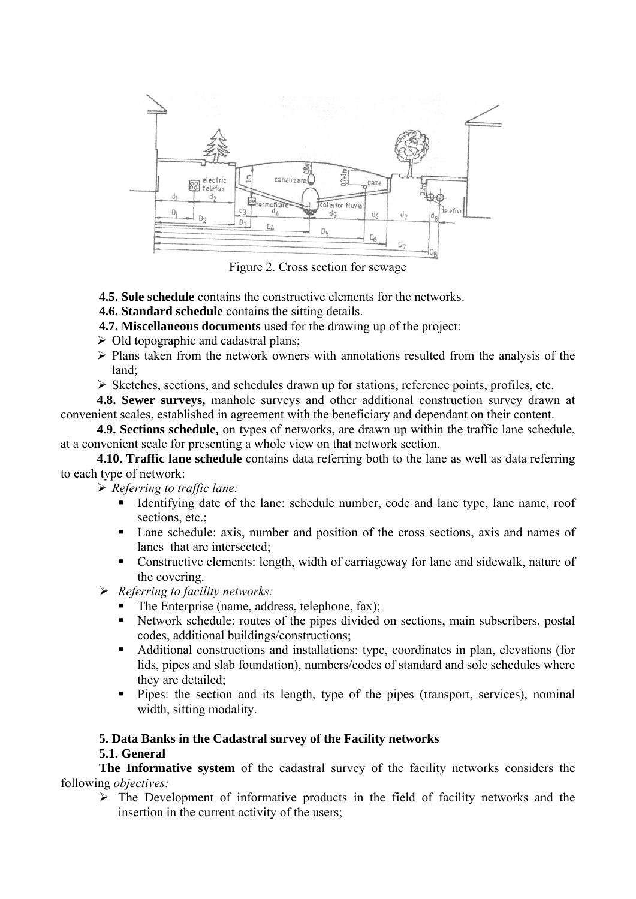

Figure 2. Cross section for sewage

**4.5. Sole schedule** contains the constructive elements for the networks.

**4.6. Standard schedule** contains the sitting details.

**4.7. Miscellaneous documents** used for the drawing up of the project:

- $\triangleright$  Old topographic and cadastral plans;
- $\triangleright$  Plans taken from the network owners with annotations resulted from the analysis of the land;
- ¾ Sketches, sections, and schedules drawn up for stations, reference points, profiles, etc.

**4.8. Sewer surveys,** manhole surveys and other additional construction survey drawn at convenient scales, established in agreement with the beneficiary and dependant on their content.

**4.9. Sections schedule,** on types of networks, are drawn up within the traffic lane schedule, at a convenient scale for presenting a whole view on that network section.

**4.10. Traffic lane schedule** contains data referring both to the lane as well as data referring to each type of network:

¾ *Referring to traffic lane:*

- Identifying date of the lane: schedule number, code and lane type, lane name, roof sections, etc.;
- Lane schedule: axis, number and position of the cross sections, axis and names of lanes that are intersected;
- Constructive elements: length, width of carriageway for lane and sidewalk, nature of the covering.

¾ *Referring to facility networks:*

- The Enterprise (name, address, telephone, fax);
- Network schedule: routes of the pipes divided on sections, main subscribers, postal codes, additional buildings/constructions;
- Additional constructions and installations: type, coordinates in plan, elevations (for lids, pipes and slab foundation), numbers/codes of standard and sole schedules where they are detailed;
- Pipes: the section and its length, type of the pipes (transport, services), nominal width, sitting modality.

## **5. Data Banks in the Cadastral survey of the Facility networks**

### **5.1. General**

**The Informative system** of the cadastral survey of the facility networks considers the following *objectives:*

 $\triangleright$  The Development of informative products in the field of facility networks and the insertion in the current activity of the users;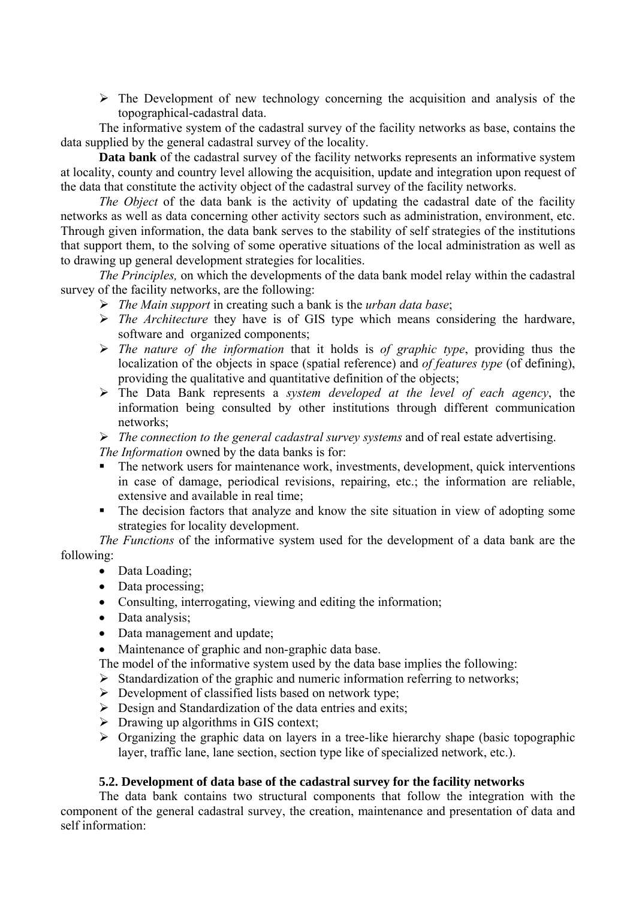$\triangleright$  The Development of new technology concerning the acquisition and analysis of the topographical-cadastral data.

The informative system of the cadastral survey of the facility networks as base, contains the data supplied by the general cadastral survey of the locality.

**Data bank** of the cadastral survey of the facility networks represents an informative system at locality, county and country level allowing the acquisition, update and integration upon request of the data that constitute the activity object of the cadastral survey of the facility networks.

*The Object* of the data bank is the activity of updating the cadastral date of the facility networks as well as data concerning other activity sectors such as administration, environment, etc. Through given information, the data bank serves to the stability of self strategies of the institutions that support them, to the solving of some operative situations of the local administration as well as to drawing up general development strategies for localities.

*The Principles,* on which the developments of the data bank model relay within the cadastral survey of the facility networks, are the following:

- ¾ *The Main support* in creating such a bank is the *urban data base*;
- ¾ *The Architecture* they have is of GIS type which means considering the hardware, software and organized components;
- ¾ *The nature of the information* that it holds is *of graphic type*, providing thus the localization of the objects in space (spatial reference) and *of features type* (of defining), providing the qualitative and quantitative definition of the objects;
- ¾ The Data Bank represents a *system developed at the level of each agency*, the information being consulted by other institutions through different communication networks;
- ¾ *The connection to the general cadastral survey systems* and of real estate advertising.

*The Information* owned by the data banks is for:

- The network users for maintenance work, investments, development, quick interventions in case of damage, periodical revisions, repairing, etc.; the information are reliable, extensive and available in real time;
- The decision factors that analyze and know the site situation in view of adopting some strategies for locality development.

*The Functions* of the informative system used for the development of a data bank are the following:

- Data Loading;
- Data processing;
- Consulting, interrogating, viewing and editing the information;
- Data analysis;
- Data management and update;
- Maintenance of graphic and non-graphic data base.

The model of the informative system used by the data base implies the following:

- $\triangleright$  Standardization of the graphic and numeric information referring to networks;
- $\triangleright$  Development of classified lists based on network type;
- $\triangleright$  Design and Standardization of the data entries and exits;
- $\triangleright$  Drawing up algorithms in GIS context;
- $\triangleright$  Organizing the graphic data on layers in a tree-like hierarchy shape (basic topographic layer, traffic lane, lane section, section type like of specialized network, etc.).

#### **5.2. Development of data base of the cadastral survey for the facility networks**

 The data bank contains two structural components that follow the integration with the component of the general cadastral survey, the creation, maintenance and presentation of data and self information: